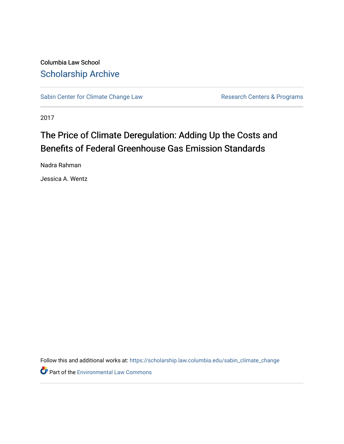Columbia Law School [Scholarship Archive](https://scholarship.law.columbia.edu/) 

[Sabin Center for Climate Change Law](https://scholarship.law.columbia.edu/sabin_climate_change) Research Centers & Programs

2017

# The Price of Climate Deregulation: Adding Up the Costs and Benefits of Federal Greenhouse Gas Emission Standards

Nadra Rahman

Jessica A. Wentz

Follow this and additional works at: [https://scholarship.law.columbia.edu/sabin\\_climate\\_change](https://scholarship.law.columbia.edu/sabin_climate_change?utm_source=scholarship.law.columbia.edu%2Fsabin_climate_change%2F92&utm_medium=PDF&utm_campaign=PDFCoverPages) 

**Part of the [Environmental Law Commons](http://network.bepress.com/hgg/discipline/599?utm_source=scholarship.law.columbia.edu%2Fsabin_climate_change%2F92&utm_medium=PDF&utm_campaign=PDFCoverPages)**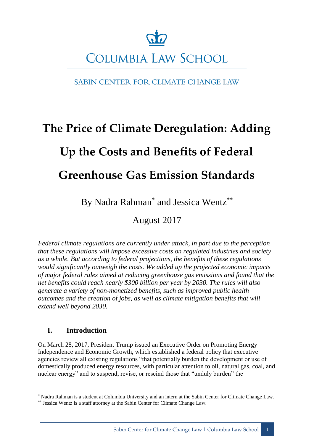# **COLUMBIA LAW SCHOOL**

# SABIN CENTER FOR CLIMATE CHANGE LAW

# **The Price of Climate Deregulation: Adding Up the Costs and Benefits of Federal Greenhouse Gas Emission Standards**

By Nadra Rahman<sup>\*</sup> and Jessica Wentz<sup>\*\*</sup>

August 2017

*Federal climate regulations are currently under attack, in part due to the perception that these regulations will impose excessive costs on regulated industries and society as a whole. But according to federal projections, the benefits of these regulations would significantly outweigh the costs. We added up the projected economic impacts of major federal rules aimed at reducing greenhouse gas emissions and found that the net benefits could reach nearly \$300 billion per year by 2030. The rules will also generate a variety of non-monetized benefits, such as improved public health outcomes and the creation of jobs, as well as climate mitigation benefits that will extend well beyond 2030.*

# **I. Introduction**

On March 28, 2017, President Trump issued an Executive Order on Promoting Energy Independence and Economic Growth, which established a federal policy that executive agencies review all existing regulations "that potentially burden the development or use of domestically produced energy resources, with particular attention to oil, natural gas, coal, and nuclear energy" and to suspend, revise, or rescind those that "unduly burden" the

<sup>&</sup>lt;u>.</u> \* Nadra Rahman is a student at Columbia University and an intern at the Sabin Center for Climate Change Law.

<sup>\*\*</sup> Jessica Wentz is a staff attorney at the Sabin Center for Climate Change Law.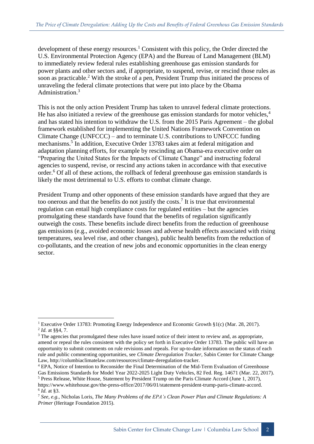development of these energy resources.<sup>1</sup> Consistent with this policy, the Order directed the U.S. Environmental Protection Agency (EPA) and the Bureau of Land Management (BLM) to immediately review federal rules establishing greenhouse gas emission standards for power plants and other sectors and, if appropriate, to suspend, revise, or rescind those rules as soon as practicable.<sup>2</sup> With the stroke of a pen, President Trump thus initiated the process of unraveling the federal climate protections that were put into place by the Obama Administration<sup>3</sup>

This is not the only action President Trump has taken to unravel federal climate protections. He has also initiated a review of the greenhouse gas emission standards for motor vehicles,<sup>4</sup> and has stated his intention to withdraw the U.S. from the 2015 Paris Agreement – the global framework established for implementing the United Nations Framework Convention on Climate Change (UNFCCC) – and to terminate U.S. contributions to UNFCCC funding mechanisms.<sup>5</sup> In addition, Executive Order 13783 takes aim at federal mitigation and adaptation planning efforts, for example by rescinding an Obama-era executive order on "Preparing the United States for the Impacts of Climate Change" and instructing federal agencies to suspend, revise, or rescind any actions taken in accordance with that executive order.<sup>6</sup> Of all of these actions, the rollback of federal greenhouse gas emission standards is likely the most detrimental to U.S. efforts to combat climate change.

President Trump and other opponents of these emission standards have argued that they are too onerous and that the benefits do not justify the costs.<sup>7</sup> It is true that environmental regulation can entail high compliance costs for regulated entities – but the agencies promulgating these standards have found that the benefits of regulation significantly outweigh the costs. These benefits include direct benefits from the reduction of greenhouse gas emissions (e.g., avoided economic losses and adverse health effects associated with rising temperatures, sea level rise, and other changes), public health benefits from the reduction of co-pollutants, and the creation of new jobs and economic opportunities in the clean energy sector.

<sup>1</sup> <sup>1</sup> Executive Order 13783: Promoting Energy Independence and Economic Growth §1(c) (Mar. 28, 2017). 2 *Id.* at §§4, 7.

<sup>&</sup>lt;sup>3</sup> The agencies that promulgated these rules have issued notice of their intent to review and, as appropriate, amend or repeal the rules consistent with the policy set forth in Executive Order 13783. The public will have an opportunity to submit comments on rule revisions and repeals. For up-to-date information on the status of each rule and public commenting opportunities, see *Climate Deregulation Tracker,* Sabin Center for Climate Change Law, http://columbiaclimatelaw.com/resources/climate-deregulation-tracker.

<sup>4</sup> EPA, Notice of Intention to Reconsider the Final Determination of the Mid-Term Evaluation of Greenhouse Gas Emissions Standards for Model Year 2022-2025 Light Duty Vehicles, 82 Fed. Reg. 14671 (Mar. 22, 2017). <sup>5</sup> Press Release, White House, Statement by President Trump on the Paris Climate Accord (June 1, 2017), https://www.whitehouse.gov/the-press-office/2017/06/01/statement-president-trump-paris-climate-accord. 6 *Id.* at §3.

<sup>7</sup> *See, e.g.,* Nicholas Loris, *The Many Problems of the EPA's Clean Power Plan and Climate Regulations: A Primer* (Heritage Foundation 2015).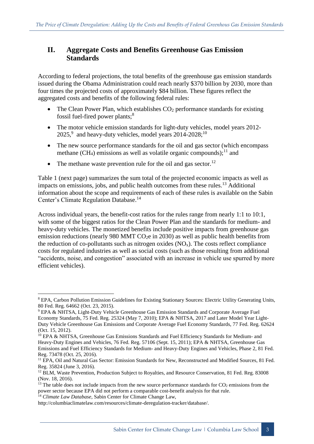# **II. Aggregate Costs and Benefits Greenhouse Gas Emission Standards**

According to federal projections, the total benefits of the greenhouse gas emission standards issued during the Obama Administration could reach nearly \$370 billion by 2030, more than four times the projected costs of approximately \$84 billion. These figures reflect the aggregated costs and benefits of the following federal rules:

- The Clean Power Plan, which establishes  $CO<sub>2</sub>$  performance standards for existing fossil fuel-fired power plants;<sup>8</sup>
- The motor vehicle emission standards for light-duty vehicles, model years 2012- $2025<sup>9</sup>$  and heavy-duty vehicles, model years  $2014-2028$ ;<sup>10</sup>
- The new source performance standards for the oil and gas sector (which encompass methane (CH<sub>4</sub>) emissions as well as volatile organic compounds);<sup>11</sup> and
- The methane waste prevention rule for the oil and gas sector.<sup>12</sup>

Table 1 (next page) summarizes the sum total of the projected economic impacts as well as impacts on emissions, jobs, and public health outcomes from these rules.<sup>13</sup> Additional information about the scope and requirements of each of these rules is available on the Sabin Center's Climate Regulation Database.<sup>14</sup>

Across individual years, the benefit-cost ratios for the rules range from nearly 1:1 to 10:1, with some of the biggest ratios for the Clean Power Plan and the standards for medium- and heavy-duty vehicles. The monetized benefits include positive impacts from greenhouse gas emission reductions (nearly 980 MMT  $CO<sub>2</sub>e$  in 2030) as well as public health benefits from the reduction of co-pollutants such as nitrogen oxides  $(NO<sub>x</sub>)$ . The costs reflect compliance costs for regulated industries as well as social costs (such as those resulting from additional "accidents, noise, and congestion" associated with an increase in vehicle use spurred by more efficient vehicles).

<sup>8</sup> EPA, Carbon Pollution Emission Guidelines for Existing Stationary Sources: Electric Utility Generating Units, 80 Fed. Reg. 64662 (Oct. 23, 2015).

<sup>9</sup> EPA & NHTSA, Light-Duty Vehicle Greenhouse Gas Emission Standards and Corporate Average Fuel Economy Standards, 75 Fed. Reg. 25324 (May 7, 2010); EPA & NHTSA, 2017 and Later Model Year Light-Duty Vehicle Greenhouse Gas Emissions and Corporate Average Fuel Economy Standards, 77 Fed. Reg. 62624 (Oct. 15, 2012).

<sup>&</sup>lt;sup>10</sup> EPA & NHTSA, Greenhouse Gas Emissions Standards and Fuel Efficiency Standards for Medium- and Heavy-Duty Engines and Vehicles, 76 Fed. Reg. 57106 (Sept. 15, 2011); EPA & NHTSA, Greenhouse Gas Emissions and Fuel Efficiency Standards for Medium- and Heavy-Duty Engines and Vehicles, Phase 2, 81 Fed. Reg. 73478 (Oct. 25, 2016).

<sup>&</sup>lt;sup>11</sup> EPA, Oil and Natural Gas Sector: Emission Standards for New, Reconstructed and Modified Sources, 81 Fed. Reg. 35824 (June 3, 2016).

<sup>&</sup>lt;sup>12</sup> BLM, Waste Prevention, Production Subject to Royalties, and Resource Conservation, 81 Fed. Reg. 83008 (Nov. 18, 2016).

<sup>&</sup>lt;sup>13</sup> The table does not include impacts from the new source performance standards for  $CO<sub>2</sub>$  emissions from the power sector because EPA did not perform a comparable cost-benefit analysis for that rule.

<sup>14</sup> *Climate Law Database*, Sabin Center for Climate Change Law,

http://columbiaclimatelaw.com/resources/climate-deregulation-tracker/database/.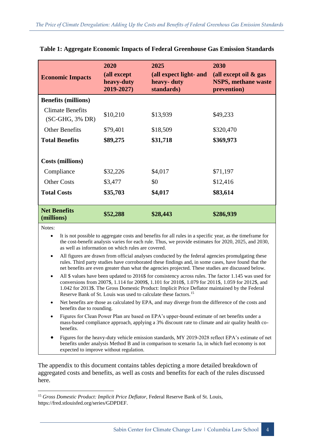| <b>Economic Impacts</b>                       | 2020<br>(all except<br>heavy-duty<br>2019-2027) | 2025<br>(all expect light- and<br>heavy-duty<br>standards) | 2030<br>(all except oil $\&$ gas<br><b>NSPS, methane waste</b><br>prevention) |
|-----------------------------------------------|-------------------------------------------------|------------------------------------------------------------|-------------------------------------------------------------------------------|
| <b>Benefits (millions)</b>                    |                                                 |                                                            |                                                                               |
| <b>Climate Benefits</b><br>$(SC-GHG, 3\% DR)$ | \$10,210                                        | \$13,939                                                   | \$49,233                                                                      |
| <b>Other Benefits</b>                         | \$79,401                                        | \$18,509                                                   | \$320,470                                                                     |
| <b>Total Benefits</b>                         | \$89,275                                        | \$31,718                                                   | \$369,973                                                                     |
| <b>Costs (millions)</b>                       |                                                 |                                                            |                                                                               |
| Compliance                                    | \$32,226                                        | \$4,017                                                    | \$71,197                                                                      |
| <b>Other Costs</b>                            | \$3,477                                         | \$0                                                        | \$12,416                                                                      |
| <b>Total Costs</b>                            | \$35,703                                        | \$4,017                                                    | \$83,614                                                                      |
| <b>Net Benefits</b><br>(millions)             | \$52,288                                        | \$28,443                                                   | \$286,939                                                                     |

#### **Table 1: Aggregate Economic Impacts of Federal Greenhouse Gas Emission Standards**

Notes:

<u>.</u>

- It is not possible to aggregate costs and benefits for all rules in a specific year, as the timeframe for the cost-benefit analysis varies for each rule. Thus, we provide estimates for 2020, 2025, and 2030, as well as information on which rules are covered.
- All figures are drawn from official analyses conducted by the federal agencies promulgating these rules. Third party studies have corroborated these findings and, in some cases, have found that the net benefits are even greater than what the agencies projected. These studies are discussed below.
- All \$ values have been updated to 2016\$ for consistency across rules. The factor 1.145 was used for conversions from 2007\$, 1.114 for 2009\$, 1.101 for 2010\$, 1.079 for 2011\$, 1.059 for 2012\$, and 1.042 for 2013\$. The Gross Domestic Product: Implicit Price Deflator maintained by the Federal Reserve Bank of St. Louis was used to calculate these factors.<sup>15</sup>
- Net benefits are those as calculated by EPA, and may diverge from the difference of the costs and benefits due to rounding.
- Figures for Clean Power Plan are based on EPA's upper-bound estimate of net benefits under a mass-based compliance approach, applying a 3% discount rate to climate and air quality health cobenefits.
- Figures for the heavy-duty vehicle emission standards, MY 2019-2028 reflect EPA's estimate of net benefits under analysis Method B and in comparison to scenario 1a, in which fuel economy is not expected to improve without regulation.

The appendix to this document contains tables depicting a more detailed breakdown of aggregated costs and benefits, as well as costs and benefits for each of the rules discussed here.

<sup>15</sup> *Gross Domestic Product: Implicit Price Deflator,* Federal Reserve Bank of St. Louis, https://fred.stlouisfed.org/series/GDPDEF.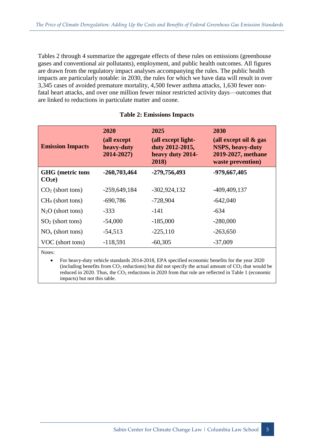Tables 2 through 4 summarize the aggregate effects of these rules on emissions (greenhouse gases and conventional air pollutants), employment, and public health outcomes. All figures are drawn from the regulatory impact analyses accompanying the rules. The public health impacts are particularly notable: in 2030, the rules for which we have data will result in over 3,345 cases of avoided premature mortality, 4,500 fewer asthma attacks, 1,630 fewer nonfatal heart attacks, and over one million fewer minor restricted activity days—outcomes that are linked to reductions in particulate matter and ozone.

| <b>Emission Impacts</b>                      | <b>2020</b><br>(all except<br>heavy-duty<br>2014-2027) | 2025<br>(all except light-<br>duty 2012-2015,<br>heavy duty 2014-<br>2018) | 2030<br>(all except oil $\&$ gas<br><b>NSPS, heavy-duty</b><br>2019-2027, methane<br>waste prevention) |
|----------------------------------------------|--------------------------------------------------------|----------------------------------------------------------------------------|--------------------------------------------------------------------------------------------------------|
| <b>GHG</b> (metric tons<br>CO <sub>2</sub> e | $-260,703,464$                                         | -279,756,493                                                               | -979,667,405                                                                                           |
| $CO2$ (short tons)                           | $-259,649,184$                                         | $-302,924,132$                                                             | $-409, 409, 137$                                                                                       |
| $CH4$ (short tons)                           | $-690,786$                                             | $-728,904$                                                                 | $-642,040$                                                                                             |
| $N_2O$ (short tons)                          | $-333$                                                 | $-141$                                                                     | $-634$                                                                                                 |
| $SO2$ (short tons)                           | $-54,000$                                              | $-185,000$                                                                 | $-280,000$                                                                                             |
| $NOx$ (short tons)                           | $-54,513$                                              | $-225,110$                                                                 | $-263,650$                                                                                             |
| VOC (short tons)                             | $-118,591$                                             | $-60,305$                                                                  | $-37,009$                                                                                              |

#### **Table 2: Emissions Impacts**

Notes:

 For heavy-duty vehicle standards 2014-2018, EPA specified economic benefits for the year 2020 (including benefits from  $CO_2$  reductions) but did not specify the actual amount of  $CO_2$  that would be reduced in 2020. Thus, the  $CO<sub>2</sub>$  reductions in 2020 from that rule are reflected in Table 1 (economic impacts) but not this table.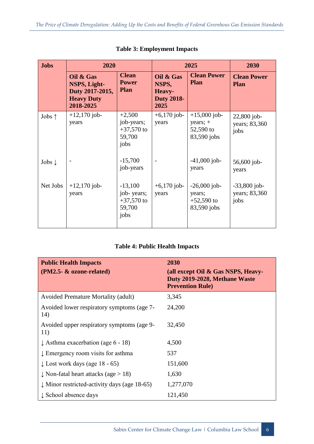| <b>Jobs</b>       | 2020                                                                           |                                                           | 2025                                                      |                                                          | 2030                                    |
|-------------------|--------------------------------------------------------------------------------|-----------------------------------------------------------|-----------------------------------------------------------|----------------------------------------------------------|-----------------------------------------|
|                   | Oil & Gas<br>NSPS, Light-<br>Duty 2017-2015,<br><b>Heavy Duty</b><br>2018-2025 | <b>Clean</b><br><b>Power</b><br><b>Plan</b>               | Oil & Gas<br>NSPS,<br>Heavy-<br><b>Duty 2018-</b><br>2025 | <b>Clean Power</b><br><b>Plan</b>                        | <b>Clean Power</b><br><b>Plan</b>       |
| Jobs $\uparrow$   | $+12,170$ job-<br>years                                                        | $+2,500$<br>job-years;<br>$+37,570$ to<br>59,700<br>jobs  | $+6,170$ job-<br>years                                    | $+15,000$ job-<br>years; $+$<br>52,590 to<br>83,590 jobs | $22,800$ job-<br>years; 83,360<br>jobs  |
| Jobs $\downarrow$ |                                                                                | $-15,700$<br>job-years                                    |                                                           | $-41,000$ job-<br>years                                  | 56,600 job-<br>years                    |
| Net Jobs          | $+12,170$ job-<br>years                                                        | $-13,100$<br>job-years;<br>$+37,570$ to<br>59,700<br>jobs | $+6,170$ job-<br>years                                    | $-26,000$ job-<br>years;<br>$+52,590$ to<br>83,590 jobs  | $-33,800$ job-<br>years; 83,360<br>jobs |

## **Table 3: Employment Impacts**

# **Table 4: Public Health Impacts**

| <b>Public Health Impacts</b><br>(PM2.5- & ozone-related) | 2030<br>(all except Oil & Gas NSPS, Heavy-<br>Duty 2019-2028, Methane Waste<br><b>Prevention Rule</b> ) |
|----------------------------------------------------------|---------------------------------------------------------------------------------------------------------|
| <b>Avoided Premature Mortality (adult)</b>               | 3,345                                                                                                   |
| Avoided lower respiratory symptoms (age 7-<br>14)        | 24,200                                                                                                  |
| Avoided upper respiratory symptoms (age 9-<br>11)        | 32,450                                                                                                  |
| $\downarrow$ Asthma exacerbation (age 6 - 18)            | 4,500                                                                                                   |
| $\downarrow$ Emergency room visits for asthma            | 537                                                                                                     |
| $\downarrow$ Lost work days (age 18 - 65)                | 151,600                                                                                                 |
| $\downarrow$ Non-fatal heart attacks (age $>$ 18)        | 1,630                                                                                                   |
| $\downarrow$ Minor restricted-activity days (age 18-65)  | 1,277,070                                                                                               |
| ↓ School absence days                                    | 121,450                                                                                                 |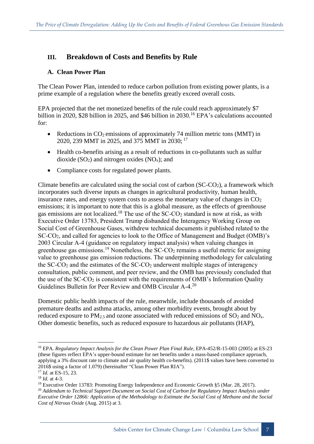# **III. Breakdown of Costs and Benefits by Rule**

# **A. Clean Power Plan**

The Clean Power Plan, intended to reduce carbon pollution from existing power plants, is a prime example of a regulation where the benefits greatly exceed overall costs.

EPA projected that the net monetized benefits of the rule could reach approximately \$7 billion in 2020, \$28 billion in 2025, and \$46 billion in 2030.<sup>16</sup> EPA's calculations accounted for:

- Reductions in  $CO_2$  emissions of approximately 74 million metric tons (MMT) in 2020, 239 MMT in 2025, and 375 MMT in 2030; <sup>17</sup>
- Health co-benefits arising as a result of reductions in co-pollutants such as sulfur dioxide  $(SO_2)$  and nitrogen oxides  $(NO_x)$ ; and
- Compliance costs for regulated power plants.

Climate benefits are calculated using the social cost of carbon  $(SC-CO<sub>2</sub>)$ , a framework which incorporates such diverse inputs as changes in agricultural productivity, human health, insurance rates, and energy system costs to assess the monetary value of changes in  $CO<sub>2</sub>$ emissions; it is important to note that this is a global measure, as the effects of greenhouse gas emissions are not localized.<sup>18</sup> The use of the  $SC\text{-}CO<sub>2</sub>$  standard is now at risk, as with Executive Order 13783, President Trump disbanded the Interagency Working Group on Social Cost of Greenhouse Gases, withdrew technical documents it published related to the SC-CO2, and called for agencies to look to the Office of Management and Budget (OMB)'s 2003 Circular A-4 (guidance on regulatory impact analysis) when valuing changes in greenhouse gas emissions.<sup>19</sup> Nonetheless, the SC-CO<sub>2</sub> remains a useful metric for assigning value to greenhouse gas emission reductions. The underpinning methodology for calculating the  $SC-CO<sub>2</sub>$  and the estimates of the  $SC-CO<sub>2</sub>$  underwent multiple stages of interagency consultation, public comment, and peer review, and the OMB has previously concluded that the use of the  $SC-CO<sub>2</sub>$  is consistent with the requirements of OMB's Information Quality Guidelines Bulletin for Peer Review and OMB Circular A-4.<sup>20</sup>

Domestic public health impacts of the rule, meanwhile, include thousands of avoided premature deaths and asthma attacks, among other morbidity events, brought about by reduced exposure to  $PM_{2.5}$  and ozone associated with reduced emissions of  $SO_2$  and  $NO_x$ . Other domestic benefits, such as reduced exposure to hazardous air pollutants (HAP),

<sup>16</sup> EPA. *Regulatory Impact Analysis for the Clean Power Plan Final Rule*, EPA-452/R-15-003 (2005) at ES-23 (these figures reflect EPA's upper-bound estimate for net benefits under a mass-based compliance approach, applying a 3% discount rate to climate and air quality health co-benefits). (2011\$ values have been converted to 2016\$ using a factor of 1.079) (hereinafter "Clean Power Plan RIA").

<sup>17</sup> *Id.* at ES-15, 23.

<sup>18</sup> *Id.* at 4-3.

<sup>&</sup>lt;sup>19</sup> Executive Order 13783: Promoting Energy Independence and Economic Growth §5 (Mar. 28, 2017).

<sup>20</sup> *Addendum to Technical Support Document on Social Cost of Carbon for Regulatory Impact Analysis under* Executive Order 12866: Application of the Methodology to Estimate the Social Cost of Methane and the Social *Cost of Nitrous Oxide* (Aug. 2015) at 3.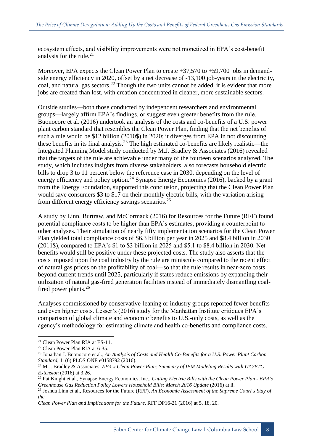ecosystem effects, and visibility improvements were not monetized in EPA's cost-benefit analysis for the rule. $21$ 

Moreover, EPA expects the Clean Power Plan to create  $+37,570$  to  $+59,700$  jobs in demandside energy efficiency in 2020, offset by a net decrease of -13,100 job-years in the electricity, coal, and natural gas sectors.<sup>22</sup> Though the two units cannot be added, it is evident that more jobs are created than lost, with creation concentrated in cleaner, more sustainable sectors.

Outside studies—both those conducted by independent researchers and environmental groups—largely affirm EPA's findings, or suggest even greater benefits from the rule. Buonocore et al. (2016) undertook an analysis of the costs and co-benefits of a U.S. power plant carbon standard that resembles the Clean Power Plan, finding that the net benefits of such a rule would be \$12 billion (2010\$) in 2020; it diverges from EPA in not discounting these benefits in its final analysis.<sup>23</sup> The high estimated co-benefits are likely realistic—the Integrated Planning Model study conducted by M.J. Bradley & Associates (2016) revealed that the targets of the rule are achievable under many of the fourteen scenarios analyzed. The study, which includes insights from diverse stakeholders, also forecasts household electric bills to drop 3 to 11 percent below the reference case in 2030, depending on the level of energy efficiency and policy option.<sup>24</sup> Synapse Energy Economics (2016), backed by a grant from the Energy Foundation, supported this conclusion, projecting that the Clean Power Plan would save consumers \$3 to \$17 on their monthly electric bills, with the variation arising from different energy efficiency savings scenarios.<sup>25</sup>

A study by Linn, Burtraw, and McCormack (2016) for Resources for the Future (RFF) found potential compliance costs to be higher than EPA's estimates, providing a counterpoint to other analyses. Their simulation of nearly fifty implementation scenarios for the Clean Power Plan yielded total compliance costs of \$6.3 billion per year in 2025 and \$8.4 billion in 2030 (2011\$), compared to EPA's \$1 to \$3 billion in 2025 and \$5.1 to \$8.4 billion in 2030. Net benefits would still be positive under these projected costs. The study also asserts that the costs imposed upon the coal industry by the rule are miniscule compared to the recent effect of natural gas prices on the profitability of coal—so that the rule results in near-zero costs beyond current trends until 2025, particularly if states reduce emissions by expanding their utilization of natural gas-fired generation facilities instead of immediately dismantling coalfired power plants.<sup>26</sup>

Analyses commissioned by conservative-leaning or industry groups reported fewer benefits and even higher costs. Lesser's (2016) study for the Manhattan Institute critiques EPA's comparison of global climate and economic benefits to U.S.-only costs, as well as the agency's methodology for estimating climate and health co-benefits and compliance costs.

<sup>21</sup> Clean Power Plan RIA at ES-11.

<sup>22</sup> Clean Power Plan RIA at 6-35.

<sup>23</sup> Jonathan J. Buonocore et al., *An Analysis of Costs and Health Co-Benefits for a U.S. Power Plant Carbon Standard*, 11(6) PLOS ONE e0158792 (2016).

<sup>24</sup> M.J. Bradley & Associates, *EPA's Clean Power Plan: Summary of IPM Modeling Results with ITC/PTC Extension* (2016) at 3,26.

<sup>25</sup> Pat Knight et al., Synapse Energy Economics, Inc., *Cutting Electric Bills with the Clean Power Plan - EPA's Greenhouse Gas Reduction Policy Lowers Household Bills: March 2016 Update* (2016) at ii.

<sup>26</sup> Joshua Linn et al., Resources for the Future (RFF), *An Economic Assessment of the Supreme Court's Stay of the*

*Clean Power Plan and Implications for the Future*, RFF DP16-21 (2016) at 5, 18, 20.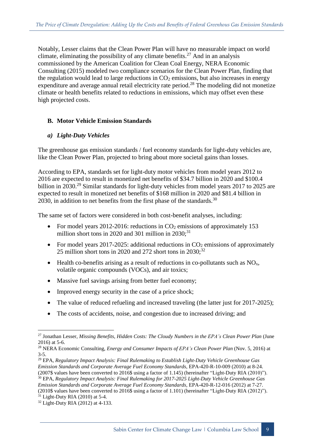Notably, Lesser claims that the Clean Power Plan will have no measurable impact on world climate, eliminating the possibility of any climate benefits.<sup>27</sup> And in an analysis commissioned by the American Coalition for Clean Coal Energy, NERA Economic Consulting (2015) modeled two compliance scenarios for the Clean Power Plan, finding that the regulation would lead to large reductions in  $CO<sub>2</sub>$  emissions, but also increases in energy expenditure and average annual retail electricity rate period.<sup>28</sup> The modeling did not monetize climate or health benefits related to reductions in emissions, which may offset even these high projected costs.

## **B. Motor Vehicle Emission Standards**

#### *a) Light-Duty Vehicles*

The greenhouse gas emission standards / fuel economy standards for light-duty vehicles are, like the Clean Power Plan, projected to bring about more societal gains than losses.

According to EPA, standards set for light-duty motor vehicles from model years 2012 to 2016 are expected to result in monetized net benefits of \$34.7 billion in 2020 and \$100.4 billion in 2030.<sup>29</sup> Similar standards for light-duty vehicles from model years 2017 to 2025 are expected to result in monetized net benefits of \$168 million in 2020 and \$81.4 billion in 2030, in addition to net benefits from the first phase of the standards.<sup>30</sup>

The same set of factors were considered in both cost-benefit analyses, including:

- For model years 2012-2016: reductions in  $CO<sub>2</sub>$  emissions of approximately 153 million short tons in 2020 and 301 million in  $2030$ ;<sup>31</sup>
- For model years 2017-2025: additional reductions in  $CO<sub>2</sub>$  emissions of approximately 25 million short tons in 2020 and 272 short tons in 2030; $^{32}$
- $\bullet$  Health co-benefits arising as a result of reductions in co-pollutants such as NO<sub>x</sub>, volatile organic compounds (VOCs), and air toxics;
- Massive fuel savings arising from better fuel economy;
- Improved energy security in the case of a price shock;
- The value of reduced refueling and increased traveling (the latter just for 2017-2025);
- The costs of accidents, noise, and congestion due to increased driving; and

<sup>27</sup> Jonathan Lesser, *Missing Benefits, Hidden Costs: The Cloudy Numbers in the EPA's Clean Power Plan* (June 2016) at 5-6.

<sup>28</sup> NERA Economic Consulting, *Energy and Consumer Impacts of EPA's Clean Power Plan* (Nov. 5, 2016) at 3-5.

<sup>29</sup> EPA, *Regulatory Impact Analysis: Final Rulemaking to Establish Light-Duty Vehicle Greenhouse Gas Emission Standards and Corporate Average Fuel Economy Standards*, EPA-420-R-10-009 (2010) at 8-24. (2007\$ values have been converted to 2016\$ using a factor of 1.145) (hereinafter "Light-Duty RIA (2010)"). <sup>30</sup> EPA, *Regulatory Impact Analysis: Final Rulemaking for 2017-2025 Light-Duty Vehicle Greenhouse Gas Emission Standards and Corporate Average Fuel Economy Standards*, EPA-420-R-12-016 (2012) at 7-27. (2010\$ values have been converted to 2016\$ using a factor of 1.101) (hereinafter "Light-Duty RIA (2012)").

 $31$  Light-Duty RIA (2010) at 5-4.

 $32$  Light-Duty RIA (2012) at 4-133.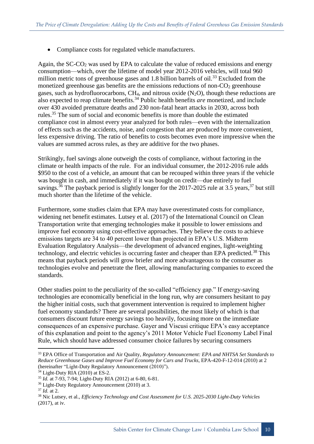• Compliance costs for regulated vehicle manufacturers.

Again, the  $SC-CO<sub>2</sub>$  was used by EPA to calculate the value of reduced emissions and energy consumption—which, over the lifetime of model year 2012-2016 vehicles, will total 960 million metric tons of greenhouse gases and 1.8 billion barrels of oil.<sup>33</sup> Excluded from the monetized greenhouse gas benefits are the emissions reductions of non- $CO<sub>2</sub>$  greenhouse gases, such as hydrofluorocarbons,  $CH_4$ , and nitrous oxide  $(N_2O)$ , though these reductions are also expected to reap climate benefits.<sup>34</sup> Public health benefits *are* monetized, and include over 430 avoided premature deaths and 230 non-fatal heart attacks in 2030, across both rules.<sup>35</sup> The sum of social and economic benefits is more than double the estimated compliance cost in almost every year analyzed for both rules—even with the internalization of effects such as the accidents, noise, and congestion that are produced by more convenient, less expensive driving. The ratio of benefits to costs becomes even more impressive when the values are summed across rules, as they are additive for the two phases.

Strikingly, fuel savings alone outweigh the costs of compliance, without factoring in the climate or health impacts of the rule. For an individual consumer, the 2012-2016 rule adds \$950 to the cost of a vehicle, an amount that can be recouped within three years if the vehicle was bought in cash, and immediately if it was bought on credit—due entirely to fuel savings.<sup>36</sup> The payback period is slightly longer for the 2017-2025 rule at 3.5 years,<sup>37</sup> but still much shorter than the lifetime of the vehicle.

Furthermore, some studies claim that EPA may have overestimated costs for compliance, widening net benefit estimates. Lutsey et al. (2017) of the International Council on Clean Transportation write that emerging technologies make it possible to lower emissions and improve fuel economy using cost-effective approaches. They believe the costs to achieve emissions targets are 34 to 40 percent lower than projected in EPA's U.S. Midterm Evaluation Regulatory Analysis—the development of advanced engines, light-weighting technology, and electric vehicles is occurring faster and cheaper than EPA predicted.<sup>38</sup> This means that payback periods will grow briefer and more advantageous to the consumer as technologies evolve and penetrate the fleet, allowing manufacturing companies to exceed the standards.

Other studies point to the peculiarity of the so-called "efficiency gap." If energy-saving technologies are economically beneficial in the long run, why are consumers hesitant to pay the higher initial costs, such that government intervention is required to implement higher fuel economy standards? There are several possibilities, the most likely of which is that consumers discount future energy savings too heavily, focusing more on the immediate consequences of an expensive purchase. Gayer and Viscusi critique EPA's easy acceptance of this explanation and point to the agency's 2011 Motor Vehicle Fuel Economy Label Final Rule, which should have addressed consumer choice failures by securing consumers

<sup>33</sup> EPA Office of Transportation and Air Quality, *Regulatory Announcement: EPA and NHTSA Set Standards to Reduce Greenhouse Gases and Improve Fuel Economy for Cars and Trucks*, EPA-420-F-12-014 (2010) at 2 (hereinafter "Light-Duty Regulatory Announcement (2010)").

 $34$  Light-Duty RIA (2010) at ES-2.

<sup>35</sup> *Id.* at 7-93, 7-94; Light-Duty RIA (2012) at 6-80, 6-81.

<sup>36</sup> Light-Duty Regulatory Announcement (2010) at 3.

<sup>37</sup> *Id.* at 2.

<sup>38</sup> Nic Lutsey, et al., *Efficiency Technology and Cost Assessment for U.S. 2025-2030 Light-Duty Vehicles* (2017), at iv.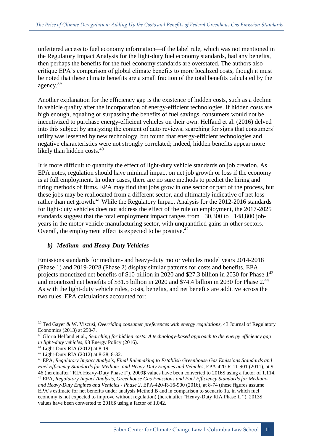unfettered access to fuel economy information—if the label rule, which was not mentioned in the Regulatory Impact Analysis for the light-duty fuel economy standards, had any benefits, then perhaps the benefits for the fuel economy standards are overstated. The authors also critique EPA's comparison of global climate benefits to more localized costs, though it must be noted that these climate benefits are a small fraction of the total benefits calculated by the agency.<sup>39</sup>

Another explanation for the efficiency gap is the existence of hidden costs, such as a decline in vehicle quality after the incorporation of energy-efficient technologies. If hidden costs are high enough, equaling or surpassing the benefits of fuel savings, consumers would not be incentivized to purchase energy-efficient vehicles on their own. Helfand et al. (2016) delved into this subject by analyzing the content of auto reviews, searching for signs that consumers' utility was lessened by new technology, but found that energy-efficient technologies and negative characteristics were not strongly correlated; indeed, hidden benefits appear more likely than hidden costs.<sup>40</sup>

It is more difficult to quantify the effect of light-duty vehicle standards on job creation. As EPA notes, regulation should have minimal impact on net job growth or loss if the economy is at full employment. In other cases, there are no sure methods to predict the hiring and firing methods of firms. EPA may find that jobs grow in one sector or part of the process, but these jobs may be reallocated from a different sector, and ultimately indicative of net loss rather than net growth.<sup>41</sup> While the Regulatory Impact Analysis for the 2012-2016 standards for light-duty vehicles does not address the effect of the rule on employment, the 2017-2025 standards suggest that the total employment impact ranges from  $+30,300$  to  $+148,800$  jobyears in the motor vehicle manufacturing sector, with unquantified gains in other sectors. Overall, the employment effect is expected to be positive.  $42$ 

#### *b) Medium- and Heavy-Duty Vehicles*

Emissions standards for medium- and heavy-duty motor vehicles model years 2014-2018 (Phase 1) and 2019-2028 (Phase 2) display similar patterns for costs and benefits. EPA projects monetized net benefits of \$10 billion in 2020 and \$27.3 billion in 2030 for Phase  $1^{43}$ and monetized net benefits of \$31.5 billion in 2020 and \$74.4 billion in 2030 for Phase 2.<sup>44</sup> As with the light-duty vehicle rules, costs, benefits, and net benefits are additive across the two rules. EPA calculations accounted for:

<sup>39</sup> Ted Gayer & W. Viscusi, *Overriding consumer preferences with energy regulations*, 43 Journal of Regulatory Economics (2013) at 250-7.

<sup>40</sup> Gloria Helfand et al., *Searching for hidden costs: A technology-based approach to the energy efficiency gap in light-duty vehicles*, 98 Energy Policy (2016).

 $41$  Light-Duty RIA (2012) at 8-19.

<sup>42</sup> Light-Duty RIA (2012) at 8-28, 8-32.

<sup>43</sup> EPA, *Regulatory Impact Analysis, Final Rulemaking to Establish Greenhouse Gas Emissions Standards and Fuel Efficiency Standards for Medium- and Heavy-Duty Engines and Vehicles*, EPA-420-R-11-901 (2011), at 9- 46 (hereinafter "RIA Heavy-Duty Phase I"). 2009\$ values have been converted to 2016\$ using a factor of 1.114. <sup>44</sup> EPA, *Regulatory Impact Analysis, Greenhouse Gas Emissions and Fuel Efficiency Standards for Mediumand Heavy-Duty Engines and Vehicles - Phase 2*, EPA-420-R-16-900 (2016), at 8-74 (these figures assume EPA's estimate for net benefits under analysis Method B and in comparison to scenario 1a, in which fuel economy is not expected to improve without regulation) (hereinafter "Heavy-Duty RIA Phase II "). 2013\$ values have been converted to 2016\$ using a factor of 1.042.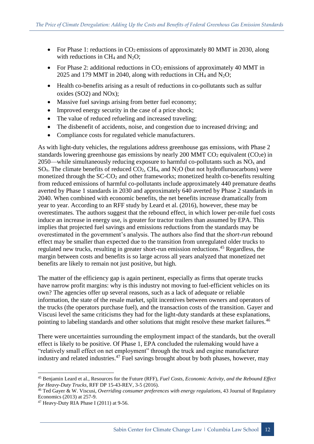- For Phase 1: reductions in  $CO<sub>2</sub>$  emissions of approximately 80 MMT in 2030, along with reductions in  $CH_4$  and  $N_2O$ ;
- For Phase 2: additional reductions in  $CO<sub>2</sub>$  emissions of approximately 40 MMT in 2025 and 179 MMT in 2040, along with reductions in CH<sub>4</sub> and N<sub>2</sub>O;
- Health co-benefits arising as a result of reductions in co-pollutants such as sulfur oxides (SO2) and NOx);
- Massive fuel savings arising from better fuel economy;
- Improved energy security in the case of a price shock;
- The value of reduced refueling and increased traveling;
- The disbenefit of accidents, noise, and congestion due to increased driving; and
- Compliance costs for regulated vehicle manufacturers.

As with light-duty vehicles, the regulations address greenhouse gas emissions, with Phase 2 standards lowering greenhouse gas emissions by nearly 200 MMT  $CO_2$  equivalent ( $CO_2e$ ) in 2050—while simultaneously reducing exposure to harmful co-pollutants such as  $NO<sub>x</sub>$  and  $SO_x$ . The climate benefits of reduced  $CO_2$ , CH<sub>4</sub>, and N<sub>2</sub>O (but not hydrofluruocarbons) were monetized through the  $SC-CO<sub>2</sub>$  and other frameworks; monetized health co-benefits resulting from reduced emissions of harmful co-pollutants include approximately 440 premature deaths averted by Phase 1 standards in 2030 and approximately 640 averted by Phase 2 standards in 2040. When combined with economic benefits, the net benefits increase dramatically from year to year. According to an RFF study by Leard et al. (2016), however, these may be overestimates. The authors suggest that the rebound effect, in which lower per-mile fuel costs induce an increase in energy use, is greater for tractor trailers than assumed by EPA. This implies that projected fuel savings and emissions reductions from the standards may be overestimated in the government's analysis. The authors also find that the *short-run* rebound effect may be smaller than expected due to the transition from unregulated older trucks to regulated new trucks, resulting in greater short-run emission reductions.<sup>45</sup> Regardless, the margin between costs and benefits is so large across all years analyzed that monetized net benefits are likely to remain not just positive, but high.

The matter of the efficiency gap is again pertinent, especially as firms that operate trucks have narrow profit margins: why is this industry not moving to fuel-efficient vehicles on its own? The agencies offer up several reasons, such as a lack of adequate or reliable information, the state of the resale market, split incentives between owners and operators of the trucks (the operators purchase fuel), and the transaction costs of the transition. Gayer and Viscusi level the same criticisms they had for the light-duty standards at these explanations, pointing to labeling standards and other solutions that might resolve these market failures.<sup>46</sup>

There were uncertainties surrounding the employment impact of the standards, but the overall effect is likely to be positive. Of Phase 1, EPA concluded the rulemaking would have a "relatively small effect on net employment" through the truck and engine manufacturer industry and related industries.<sup>47</sup> Fuel savings brought about by both phases, however, may

<sup>45</sup> Benjamin Leard et al., Resources for the Future (RFF), *Fuel Costs, Economic Activity, and the Rebound Effect for Heavy-Duty Trucks*, RFF DP 15-43-REV, 3-5 (2016).

<sup>46</sup> Ted Gayer & W. Viscusi, *Overriding consumer preferences with energy regulations*, 43 Journal of Regulatory Economics (2013) at 257-9.

 $47$  Heavy-Duty RIA Phase I (2011) at 9-56.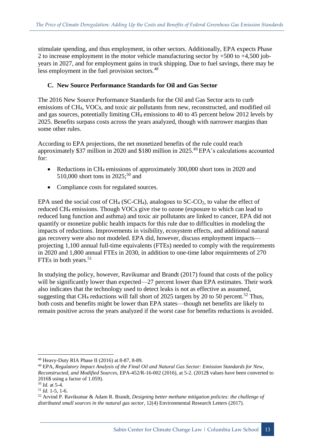stimulate spending, and thus employment, in other sectors. Additionally, EPA expects Phase 2 to increase employment in the motor vehicle manufacturing sector by +500 to +4,500 jobyears in 2027, and for employment gains in truck shipping. Due to fuel savings, there may be less employment in the fuel provision sectors.<sup>48</sup>

#### **C. New Source Performance Standards for Oil and Gas Sector**

The 2016 New Source Performance Standards for the Oil and Gas Sector acts to curb emissions of CH4, VOCs, and toxic air pollutants from new, reconstructed, and modified oil and gas sources, potentially limiting CH<sup>4</sup> emissions to 40 to 45 percent below 2012 levels by 2025. Benefits surpass costs across the years analyzed, though with narrower margins than some other rules.

According to EPA projections, the net monetized benefits of the rule could reach approximately \$37 million in 2020 and \$180 million in 2025.<sup>49</sup> EPA's calculations accounted for:

- Reductions in CH<sub>4</sub> emissions of approximately 300,000 short tons in 2020 and 510,000 short tons in 2025:<sup>50</sup> and
- Compliance costs for regulated sources.

EPA used the social cost of  $CH_4$  (SC-CH<sub>4</sub>), analogous to SC-CO<sub>2</sub>, to value the effect of reduced CH<sup>4</sup> emissions. Though VOCs give rise to ozone (exposure to which can lead to reduced lung function and asthma) and toxic air pollutants are linked to cancer, EPA did not quantify or monetize public health impacts for this rule due to difficulties in modeling the impacts of reductions. Improvements in visibility, ecosystem effects, and additional natural gas recovery were also not modeled. EPA did, however, discuss employment impacts projecting 1,100 annual full-time equivalents (FTEs) needed to comply with the requirements in 2020 and 1,800 annual FTEs in 2030, in addition to one-time labor requirements of 270 FTEs in both years.<sup>51</sup>

In studying the policy, however, Ravikumar and Brandt (2017) found that costs of the policy will be significantly lower than expected—27 percent lower than EPA estimates. Their work also indicates that the technology used to detect leaks is not as effective as assumed, suggesting that CH<sub>4</sub> reductions will fall short of 2025 targets by 20 to 50 percent.<sup>52</sup> Thus, both costs and benefits might be lower than EPA states—though net benefits are likely to remain positive across the years analyzed if the worst case for benefits reductions is avoided.

<sup>48</sup> Heavy-Duty RIA Phase II (2016) at 8-87, 8-89.

<sup>49</sup> EPA, *Regulatory Impact Analysis of the Final Oil and Natural Gas Sector: Emission Standards for New, Reconstructed, and Modified Sources*, EPA-452/R-16-002 (2016), at 5-2. (2012\$ values have been converted to 2016\$ using a factor of 1.059).

<sup>50</sup> *Id.* at 5-4.

<sup>51</sup> *Id.* 1-5, 1-6.

<sup>52</sup> Arvind P. Ravikumar & Adam R. Brandt, *Designing better methane mitigation policies: the challenge of distributed small sources in the natural gas sector*, 12(4) Environmental Research Letters (2017).